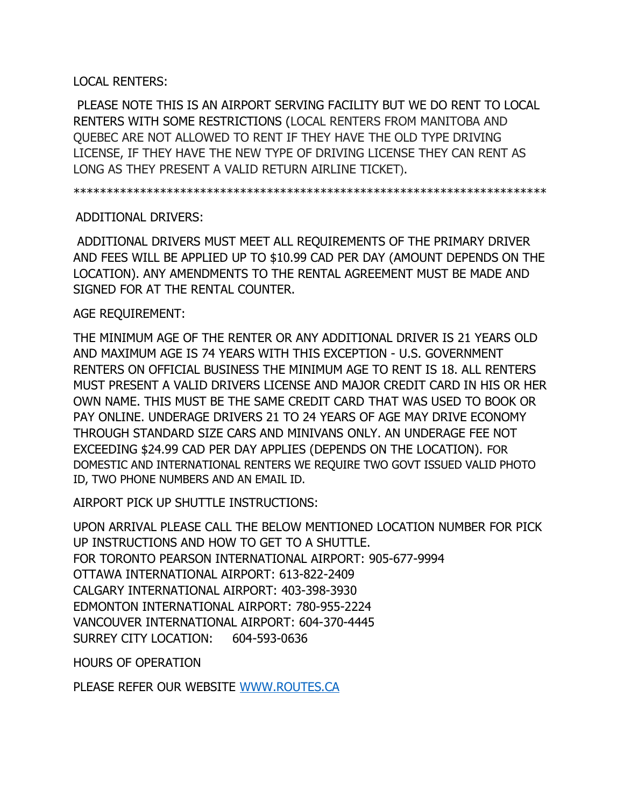## LOCAL RENTERS:

PLEASE NOTE THIS IS AN AIRPORT SERVING FACILITY BUT WE DO RENT TO LOCAL RENTERS WITH SOME RESTRICTIONS (LOCAL RENTERS FROM MANITOBA AND QUEBEC ARE NOT ALLOWED TO RENT IF THEY HAVE THE OLD TYPE DRIVING LICENSE, IF THEY HAVE THE NEW TYPE OF DRIVING LICENSE THEY CAN RENT AS LONG AS THEY PRESENT A VALID RETURN AIRLINE TICKET).

\*\*\*\*\*\*\*\*\*\*\*\*\*\*\*\*\*\*\*\*\*\*\*\*\*\*\*\*\*\*\*\*\*\*\*\*\*\*\*\*\*\*\*\*\*\*\*\*\*\*\*\*\*\*\*\*\*\*\*\*\*\*\*\*\*\*\*\*\*\*\*

## ADDITIONAL DRIVERS:

ADDITIONAL DRIVERS MUST MEET ALL REQUIREMENTS OF THE PRIMARY DRIVER AND FEES WILL BE APPLIED UP TO \$10.99 CAD PER DAY (AMOUNT DEPENDS ON THE LOCATION). ANY AMENDMENTS TO THE RENTAL AGREEMENT MUST BE MADE AND SIGNED FOR AT THE RENTAL COUNTER.

## AGE REQUIREMENT:

THE MINIMUM AGE OF THE RENTER OR ANY ADDITIONAL DRIVER IS 21 YEARS OLD AND MAXIMUM AGE IS 74 YEARS WITH THIS EXCEPTION - U.S. GOVERNMENT RENTERS ON OFFICIAL BUSINESS THE MINIMUM AGE TO RENT IS 18. ALL RENTERS MUST PRESENT A VALID DRIVERS LICENSE AND MAJOR CREDIT CARD IN HIS OR HER OWN NAME. THIS MUST BE THE SAME CREDIT CARD THAT WAS USED TO BOOK OR PAY ONLINE. UNDERAGE DRIVERS 21 TO 24 YEARS OF AGE MAY DRIVE ECONOMY THROUGH STANDARD SIZE CARS AND MINIVANS ONLY. AN UNDERAGE FEE NOT EXCEEDING \$24.99 CAD PER DAY APPLIES (DEPENDS ON THE LOCATION). FOR DOMESTIC AND INTERNATIONAL RENTERS WE REQUIRE TWO GOVT ISSUED VALID PHOTO ID, TWO PHONE NUMBERS AND AN EMAIL ID.

AIRPORT PICK UP SHUTTLE INSTRUCTIONS:

UPON ARRIVAL PLEASE CALL THE BELOW MENTIONED LOCATION NUMBER FOR PICK UP INSTRUCTIONS AND HOW TO GET TO A SHUTTLE. FOR TORONTO PEARSON INTERNATIONAL AIRPORT: 905-677-9994 OTTAWA INTERNATIONAL AIRPORT: 613-822-2409 CALGARY INTERNATIONAL AIRPORT: 403-398-3930 EDMONTON INTERNATIONAL AIRPORT: 780-955-2224 VANCOUVER INTERNATIONAL AIRPORT: 604-370-4445 SURREY CITY LOCATION: 604-593-0636

HOURS OF OPERATION

PLEASE REFER OUR WEBSITE [WWW.ROUTES.CA](http://www.routes.ca/)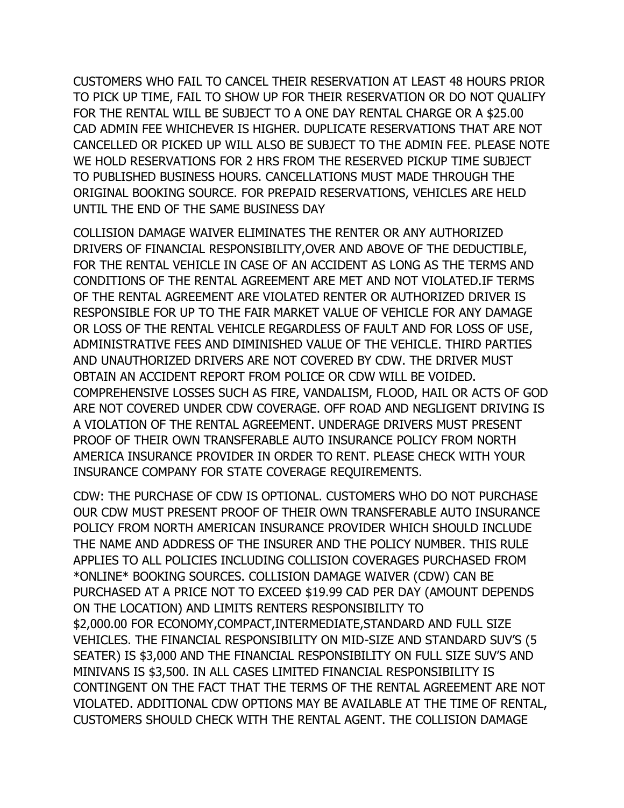CUSTOMERS WHO FAIL TO CANCEL THEIR RESERVATION AT LEAST 48 HOURS PRIOR TO PICK UP TIME, FAIL TO SHOW UP FOR THEIR RESERVATION OR DO NOT QUALIFY FOR THE RENTAL WILL BE SUBJECT TO A ONE DAY RENTAL CHARGE OR A \$25.00 CAD ADMIN FEE WHICHEVER IS HIGHER. DUPLICATE RESERVATIONS THAT ARE NOT CANCELLED OR PICKED UP WILL ALSO BE SUBJECT TO THE ADMIN FEE. PLEASE NOTE WE HOLD RESERVATIONS FOR 2 HRS FROM THE RESERVED PICKUP TIME SUBJECT TO PUBLISHED BUSINESS HOURS. CANCELLATIONS MUST MADE THROUGH THE ORIGINAL BOOKING SOURCE. FOR PREPAID RESERVATIONS, VEHICLES ARE HELD UNTIL THE END OF THE SAME BUSINESS DAY

COLLISION DAMAGE WAIVER ELIMINATES THE RENTER OR ANY AUTHORIZED DRIVERS OF FINANCIAL RESPONSIBILITY,OVER AND ABOVE OF THE DEDUCTIBLE, FOR THE RENTAL VEHICLE IN CASE OF AN ACCIDENT AS LONG AS THE TERMS AND CONDITIONS OF THE RENTAL AGREEMENT ARE MET AND NOT VIOLATED.IF TERMS OF THE RENTAL AGREEMENT ARE VIOLATED RENTER OR AUTHORIZED DRIVER IS RESPONSIBLE FOR UP TO THE FAIR MARKET VALUE OF VEHICLE FOR ANY DAMAGE OR LOSS OF THE RENTAL VEHICLE REGARDLESS OF FAULT AND FOR LOSS OF USE, ADMINISTRATIVE FEES AND DIMINISHED VALUE OF THE VEHICLE. THIRD PARTIES AND UNAUTHORIZED DRIVERS ARE NOT COVERED BY CDW. THE DRIVER MUST OBTAIN AN ACCIDENT REPORT FROM POLICE OR CDW WILL BE VOIDED. COMPREHENSIVE LOSSES SUCH AS FIRE, VANDALISM, FLOOD, HAIL OR ACTS OF GOD ARE NOT COVERED UNDER CDW COVERAGE. OFF ROAD AND NEGLIGENT DRIVING IS A VIOLATION OF THE RENTAL AGREEMENT. UNDERAGE DRIVERS MUST PRESENT PROOF OF THEIR OWN TRANSFERABLE AUTO INSURANCE POLICY FROM NORTH AMERICA INSURANCE PROVIDER IN ORDER TO RENT. PLEASE CHECK WITH YOUR INSURANCE COMPANY FOR STATE COVERAGE REQUIREMENTS.

CDW: THE PURCHASE OF CDW IS OPTIONAL. CUSTOMERS WHO DO NOT PURCHASE OUR CDW MUST PRESENT PROOF OF THEIR OWN TRANSFERABLE AUTO INSURANCE POLICY FROM NORTH AMERICAN INSURANCE PROVIDER WHICH SHOULD INCLUDE THE NAME AND ADDRESS OF THE INSURER AND THE POLICY NUMBER. THIS RULE APPLIES TO ALL POLICIES INCLUDING COLLISION COVERAGES PURCHASED FROM \*ONLINE\* BOOKING SOURCES. COLLISION DAMAGE WAIVER (CDW) CAN BE PURCHASED AT A PRICE NOT TO EXCEED \$19.99 CAD PER DAY (AMOUNT DEPENDS ON THE LOCATION) AND LIMITS RENTERS RESPONSIBILITY TO \$2,000.00 FOR ECONOMY,COMPACT,INTERMEDIATE,STANDARD AND FULL SIZE VEHICLES. THE FINANCIAL RESPONSIBILITY ON MID-SIZE AND STANDARD SUV'S (5 SEATER) IS \$3,000 AND THE FINANCIAL RESPONSIBILITY ON FULL SIZE SUV'S AND MINIVANS IS \$3,500. IN ALL CASES LIMITED FINANCIAL RESPONSIBILITY IS CONTINGENT ON THE FACT THAT THE TERMS OF THE RENTAL AGREEMENT ARE NOT VIOLATED. ADDITIONAL CDW OPTIONS MAY BE AVAILABLE AT THE TIME OF RENTAL, CUSTOMERS SHOULD CHECK WITH THE RENTAL AGENT. THE COLLISION DAMAGE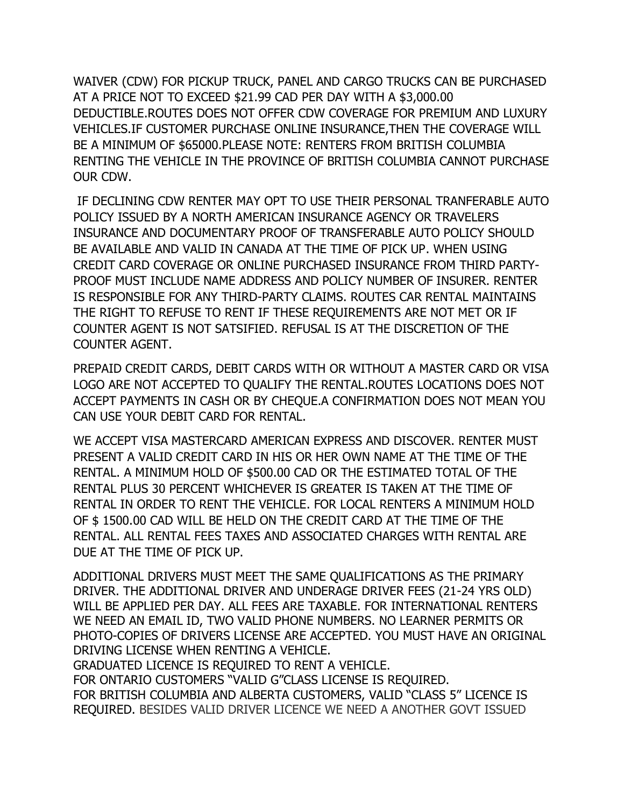WAIVER (CDW) FOR PICKUP TRUCK, PANEL AND CARGO TRUCKS CAN BE PURCHASED AT A PRICE NOT TO EXCEED \$21.99 CAD PER DAY WITH A \$3,000.00 DEDUCTIBLE.ROUTES DOES NOT OFFER CDW COVERAGE FOR PREMIUM AND LUXURY VEHICLES.IF CUSTOMER PURCHASE ONLINE INSURANCE,THEN THE COVERAGE WILL BE A MINIMUM OF \$65000.PLEASE NOTE: RENTERS FROM BRITISH COLUMBIA RENTING THE VEHICLE IN THE PROVINCE OF BRITISH COLUMBIA CANNOT PURCHASE OUR CDW.

IF DECLINING CDW RENTER MAY OPT TO USE THEIR PERSONAL TRANFERABLE AUTO POLICY ISSUED BY A NORTH AMERICAN INSURANCE AGENCY OR TRAVELERS INSURANCE AND DOCUMENTARY PROOF OF TRANSFERABLE AUTO POLICY SHOULD BE AVAILABLE AND VALID IN CANADA AT THE TIME OF PICK UP. WHEN USING CREDIT CARD COVERAGE OR ONLINE PURCHASED INSURANCE FROM THIRD PARTY-PROOF MUST INCLUDE NAME ADDRESS AND POLICY NUMBER OF INSURER. RENTER IS RESPONSIBLE FOR ANY THIRD-PARTY CLAIMS. ROUTES CAR RENTAL MAINTAINS THE RIGHT TO REFUSE TO RENT IF THESE REQUIREMENTS ARE NOT MET OR IF COUNTER AGENT IS NOT SATSIFIED. REFUSAL IS AT THE DISCRETION OF THE COUNTER AGENT.

PREPAID CREDIT CARDS, DEBIT CARDS WITH OR WITHOUT A MASTER CARD OR VISA LOGO ARE NOT ACCEPTED TO QUALIFY THE RENTAL.ROUTES LOCATIONS DOES NOT ACCEPT PAYMENTS IN CASH OR BY CHEQUE.A CONFIRMATION DOES NOT MEAN YOU CAN USE YOUR DEBIT CARD FOR RENTAL.

WE ACCEPT VISA MASTERCARD AMERICAN EXPRESS AND DISCOVER. RENTER MUST PRESENT A VALID CREDIT CARD IN HIS OR HER OWN NAME AT THE TIME OF THE RENTAL. A MINIMUM HOLD OF \$500.00 CAD OR THE ESTIMATED TOTAL OF THE RENTAL PLUS 30 PERCENT WHICHEVER IS GREATER IS TAKEN AT THE TIME OF RENTAL IN ORDER TO RENT THE VEHICLE. FOR LOCAL RENTERS A MINIMUM HOLD OF \$ 1500.00 CAD WILL BE HELD ON THE CREDIT CARD AT THE TIME OF THE RENTAL. ALL RENTAL FEES TAXES AND ASSOCIATED CHARGES WITH RENTAL ARE DUE AT THE TIME OF PICK UP.

ADDITIONAL DRIVERS MUST MEET THE SAME QUALIFICATIONS AS THE PRIMARY DRIVER. THE ADDITIONAL DRIVER AND UNDERAGE DRIVER FEES (21-24 YRS OLD) WILL BE APPLIED PER DAY. ALL FEES ARE TAXABLE. FOR INTERNATIONAL RENTERS WE NEED AN EMAIL ID, TWO VALID PHONE NUMBERS. NO LEARNER PERMITS OR PHOTO-COPIES OF DRIVERS LICENSE ARE ACCEPTED. YOU MUST HAVE AN ORIGINAL DRIVING LICENSE WHEN RENTING A VEHICLE.

GRADUATED LICENCE IS REQUIRED TO RENT A VEHICLE. FOR ONTARIO CUSTOMERS "VALID G"CLASS LICENSE IS REQUIRED. FOR BRITISH COLUMBIA AND ALBERTA CUSTOMERS, VALID "CLASS 5" LICENCE IS REQUIRED. BESIDES VALID DRIVER LICENCE WE NEED A ANOTHER GOVT ISSUED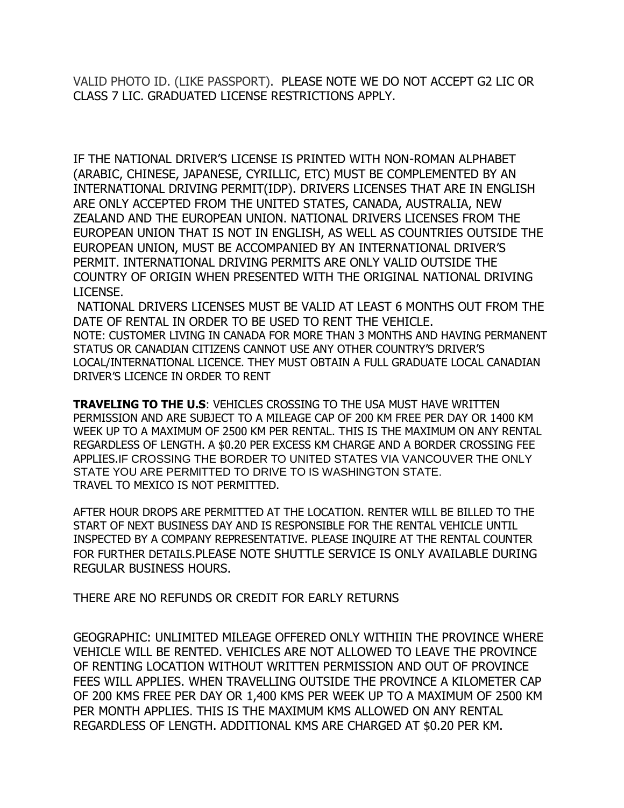VALID PHOTO ID. (LIKE PASSPORT). PLEASE NOTE WE DO NOT ACCEPT G2 LIC OR CLASS 7 LIC. GRADUATED LICENSE RESTRICTIONS APPLY.

IF THE NATIONAL DRIVER'S LICENSE IS PRINTED WITH NON-ROMAN ALPHABET (ARABIC, CHINESE, JAPANESE, CYRILLIC, ETC) MUST BE COMPLEMENTED BY AN INTERNATIONAL DRIVING PERMIT(IDP). DRIVERS LICENSES THAT ARE IN ENGLISH ARE ONLY ACCEPTED FROM THE UNITED STATES, CANADA, AUSTRALIA, NEW ZEALAND AND THE EUROPEAN UNION. NATIONAL DRIVERS LICENSES FROM THE EUROPEAN UNION THAT IS NOT IN ENGLISH, AS WELL AS COUNTRIES OUTSIDE THE EUROPEAN UNION, MUST BE ACCOMPANIED BY AN INTERNATIONAL DRIVER'S PERMIT. INTERNATIONAL DRIVING PERMITS ARE ONLY VALID OUTSIDE THE COUNTRY OF ORIGIN WHEN PRESENTED WITH THE ORIGINAL NATIONAL DRIVING LICENSE.

NATIONAL DRIVERS LICENSES MUST BE VALID AT LEAST 6 MONTHS OUT FROM THE DATE OF RENTAL IN ORDER TO BE USED TO RENT THE VEHICLE. NOTE: CUSTOMER LIVING IN CANADA FOR MORE THAN 3 MONTHS AND HAVING PERMANENT STATUS OR CANADIAN CITIZENS CANNOT USE ANY OTHER COUNTRY'S DRIVER'S LOCAL/INTERNATIONAL LICENCE. THEY MUST OBTAIN A FULL GRADUATE LOCAL CANADIAN DRIVER'S LICENCE IN ORDER TO RENT

**TRAVELING TO THE U.S**: VEHICLES CROSSING TO THE USA MUST HAVE WRITTEN PERMISSION AND ARE SUBJECT TO A MILEAGE CAP OF 200 KM FREE PER DAY OR 1400 KM WEEK UP TO A MAXIMUM OF 2500 KM PER RENTAL. THIS IS THE MAXIMUM ON ANY RENTAL REGARDLESS OF LENGTH. A \$0.20 PER EXCESS KM CHARGE AND A BORDER CROSSING FEE APPLIES.IF CROSSING THE BORDER TO UNITED STATES VIA VANCOUVER THE ONLY STATE YOU ARE PERMITTED TO DRIVE TO IS WASHINGTON STATE. TRAVEL TO MEXICO IS NOT PERMITTED.

AFTER HOUR DROPS ARE PERMITTED AT THE LOCATION. RENTER WILL BE BILLED TO THE START OF NEXT BUSINESS DAY AND IS RESPONSIBLE FOR THE RENTAL VEHICLE UNTIL INSPECTED BY A COMPANY REPRESENTATIVE. PLEASE INQUIRE AT THE RENTAL COUNTER FOR FURTHER DETAILS.PLEASE NOTE SHUTTLE SERVICE IS ONLY AVAILABLE DURING REGULAR BUSINESS HOURS.

THERE ARE NO REFUNDS OR CREDIT FOR EARLY RETURNS

GEOGRAPHIC: UNLIMITED MILEAGE OFFERED ONLY WITHIIN THE PROVINCE WHERE VEHICLE WILL BE RENTED. VEHICLES ARE NOT ALLOWED TO LEAVE THE PROVINCE OF RENTING LOCATION WITHOUT WRITTEN PERMISSION AND OUT OF PROVINCE FEES WILL APPLIES. WHEN TRAVELLING OUTSIDE THE PROVINCE A KILOMETER CAP OF 200 KMS FREE PER DAY OR 1,400 KMS PER WEEK UP TO A MAXIMUM OF 2500 KM PER MONTH APPLIES. THIS IS THE MAXIMUM KMS ALLOWED ON ANY RENTAL REGARDLESS OF LENGTH. ADDITIONAL KMS ARE CHARGED AT \$0.20 PER KM.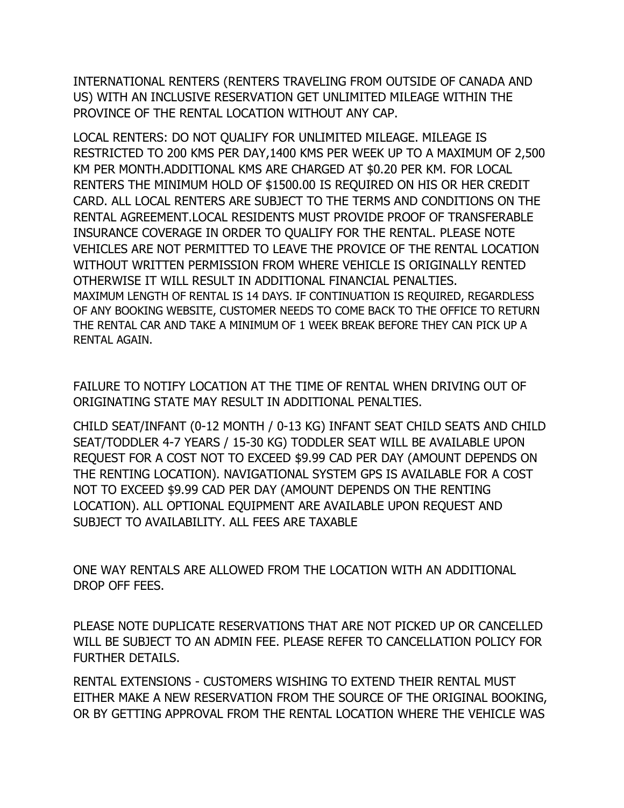INTERNATIONAL RENTERS (RENTERS TRAVELING FROM OUTSIDE OF CANADA AND US) WITH AN INCLUSIVE RESERVATION GET UNLIMITED MILEAGE WITHIN THE PROVINCE OF THE RENTAL LOCATION WITHOUT ANY CAP.

LOCAL RENTERS: DO NOT QUALIFY FOR UNLIMITED MILEAGE. MILEAGE IS RESTRICTED TO 200 KMS PER DAY,1400 KMS PER WEEK UP TO A MAXIMUM OF 2,500 KM PER MONTH.ADDITIONAL KMS ARE CHARGED AT \$0.20 PER KM. FOR LOCAL RENTERS THE MINIMUM HOLD OF \$1500.00 IS REQUIRED ON HIS OR HER CREDIT CARD. ALL LOCAL RENTERS ARE SUBJECT TO THE TERMS AND CONDITIONS ON THE RENTAL AGREEMENT.LOCAL RESIDENTS MUST PROVIDE PROOF OF TRANSFERABLE INSURANCE COVERAGE IN ORDER TO QUALIFY FOR THE RENTAL. PLEASE NOTE VEHICLES ARE NOT PERMITTED TO LEAVE THE PROVICE OF THE RENTAL LOCATION WITHOUT WRITTEN PERMISSION FROM WHERE VEHICLE IS ORIGINALLY RENTED OTHERWISE IT WILL RESULT IN ADDITIONAL FINANCIAL PENALTIES. MAXIMUM LENGTH OF RENTAL IS 14 DAYS. IF CONTINUATION IS REQUIRED, REGARDLESS OF ANY BOOKING WEBSITE, CUSTOMER NEEDS TO COME BACK TO THE OFFICE TO RETURN THE RENTAL CAR AND TAKE A MINIMUM OF 1 WEEK BREAK BEFORE THEY CAN PICK UP A RENTAL AGAIN.

FAILURE TO NOTIFY LOCATION AT THE TIME OF RENTAL WHEN DRIVING OUT OF ORIGINATING STATE MAY RESULT IN ADDITIONAL PENALTIES.

CHILD SEAT/INFANT (0-12 MONTH / 0-13 KG) INFANT SEAT CHILD SEATS AND CHILD SEAT/TODDLER 4-7 YEARS / 15-30 KG) TODDLER SEAT WILL BE AVAILABLE UPON REQUEST FOR A COST NOT TO EXCEED \$9.99 CAD PER DAY (AMOUNT DEPENDS ON THE RENTING LOCATION). NAVIGATIONAL SYSTEM GPS IS AVAILABLE FOR A COST NOT TO EXCEED \$9.99 CAD PER DAY (AMOUNT DEPENDS ON THE RENTING LOCATION). ALL OPTIONAL EQUIPMENT ARE AVAILABLE UPON REQUEST AND SUBJECT TO AVAILABILITY. ALL FEES ARE TAXABLE

ONE WAY RENTALS ARE ALLOWED FROM THE LOCATION WITH AN ADDITIONAL DROP OFF FEES.

PLEASE NOTE DUPLICATE RESERVATIONS THAT ARE NOT PICKED UP OR CANCELLED WILL BE SUBJECT TO AN ADMIN FEE. PLEASE REFER TO CANCELLATION POLICY FOR FURTHER DETAILS.

RENTAL EXTENSIONS - CUSTOMERS WISHING TO EXTEND THEIR RENTAL MUST EITHER MAKE A NEW RESERVATION FROM THE SOURCE OF THE ORIGINAL BOOKING, OR BY GETTING APPROVAL FROM THE RENTAL LOCATION WHERE THE VEHICLE WAS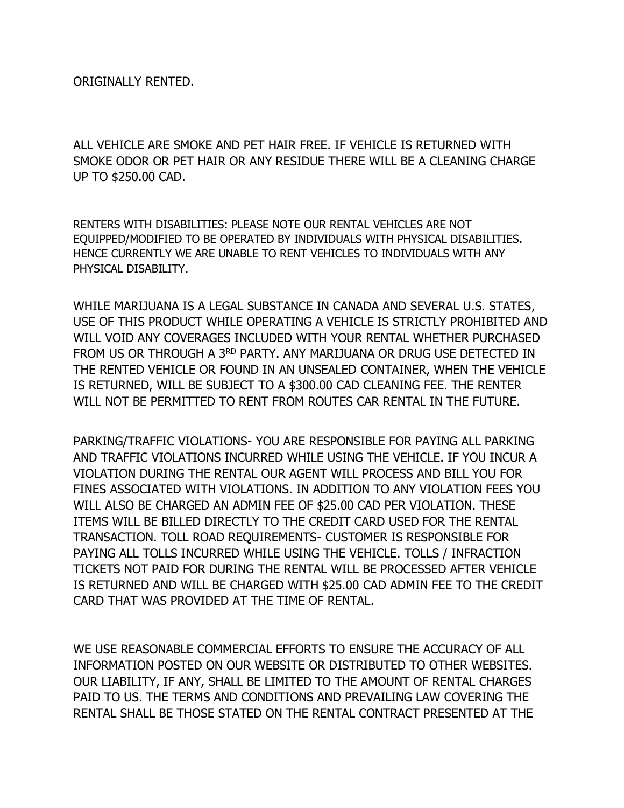ORIGINALLY RENTED.

ALL VEHICLE ARE SMOKE AND PET HAIR FREE. IF VEHICLE IS RETURNED WITH SMOKE ODOR OR PET HAIR OR ANY RESIDUE THERE WILL BE A CLEANING CHARGE UP TO \$250.00 CAD.

RENTERS WITH DISABILITIES: PLEASE NOTE OUR RENTAL VEHICLES ARE NOT EQUIPPED/MODIFIED TO BE OPERATED BY INDIVIDUALS WITH PHYSICAL DISABILITIES. HENCE CURRENTLY WE ARE UNABLE TO RENT VEHICLES TO INDIVIDUALS WITH ANY PHYSICAL DISABILITY.

WHILE MARIJUANA IS A LEGAL SUBSTANCE IN CANADA AND SEVERAL U.S. STATES, USE OF THIS PRODUCT WHILE OPERATING A VEHICLE IS STRICTLY PROHIBITED AND WILL VOID ANY COVERAGES INCLUDED WITH YOUR RENTAL WHETHER PURCHASED FROM US OR THROUGH A 3RD PARTY. ANY MARIJUANA OR DRUG USE DETECTED IN THE RENTED VEHICLE OR FOUND IN AN UNSEALED CONTAINER, WHEN THE VEHICLE IS RETURNED, WILL BE SUBJECT TO A \$300.00 CAD CLEANING FEE. THE RENTER WILL NOT BE PERMITTED TO RENT FROM ROUTES CAR RENTAL IN THE FUTURE.

PARKING/TRAFFIC VIOLATIONS- YOU ARE RESPONSIBLE FOR PAYING ALL PARKING AND TRAFFIC VIOLATIONS INCURRED WHILE USING THE VEHICLE. IF YOU INCUR A VIOLATION DURING THE RENTAL OUR AGENT WILL PROCESS AND BILL YOU FOR FINES ASSOCIATED WITH VIOLATIONS. IN ADDITION TO ANY VIOLATION FEES YOU WILL ALSO BE CHARGED AN ADMIN FEE OF \$25.00 CAD PER VIOLATION. THESE ITEMS WILL BE BILLED DIRECTLY TO THE CREDIT CARD USED FOR THE RENTAL TRANSACTION. TOLL ROAD REQUIREMENTS- CUSTOMER IS RESPONSIBLE FOR PAYING ALL TOLLS INCURRED WHILE USING THE VEHICLE. TOLLS / INFRACTION TICKETS NOT PAID FOR DURING THE RENTAL WILL BE PROCESSED AFTER VEHICLE IS RETURNED AND WILL BE CHARGED WITH \$25.00 CAD ADMIN FEE TO THE CREDIT CARD THAT WAS PROVIDED AT THE TIME OF RENTAL.

WE USE REASONABLE COMMERCIAL EFFORTS TO ENSURE THE ACCURACY OF ALL INFORMATION POSTED ON OUR WEBSITE OR DISTRIBUTED TO OTHER WEBSITES. OUR LIABILITY, IF ANY, SHALL BE LIMITED TO THE AMOUNT OF RENTAL CHARGES PAID TO US. THE TERMS AND CONDITIONS AND PREVAILING LAW COVERING THE RENTAL SHALL BE THOSE STATED ON THE RENTAL CONTRACT PRESENTED AT THE